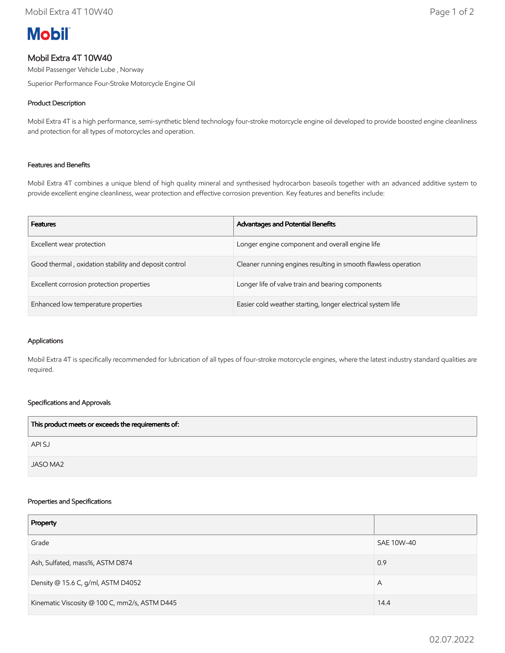# **Mobil**

# Mobil Extra 4T 10W40

Mobil Passenger Vehicle Lube , Norway

Superior Performance Four-Stroke Motorcycle Engine Oil

# Product Description

Mobil Extra 4T is a high performance, semi-synthetic blend technology four-stroke motorcycle engine oil developed to provide boosted engine cleanliness and protection for all types of motorcycles and operation.

## Features and Benefits

Mobil Extra 4T combines a unique blend of high quality mineral and synthesised hydrocarbon baseoils together with an advanced additive system to provide excellent engine cleanliness, wear protection and effective corrosion prevention. Key features and benefits include:

| <b>Features</b>                                       | <b>Advantages and Potential Benefits</b>                       |
|-------------------------------------------------------|----------------------------------------------------------------|
| Excellent wear protection                             | Longer engine component and overall engine life                |
| Good thermal, oxidation stability and deposit control | Cleaner running engines resulting in smooth flawless operation |
| Excellent corrosion protection properties             | Longer life of valve train and bearing components              |
| Enhanced low temperature properties                   | Easier cold weather starting, longer electrical system life    |

#### Applications

Mobil Extra 4T is specifically recommended for lubrication of all types of four-stroke motorcycle engines, where the latest industry standard qualities are required.

## Specifications and Approvals

| This product meets or exceeds the requirements of: |  |
|----------------------------------------------------|--|
| API SJ                                             |  |
| JASO MA2                                           |  |

#### Properties and Specifications

| Property                                      |            |
|-----------------------------------------------|------------|
| Grade                                         | SAE 10W-40 |
| Ash, Sulfated, mass%, ASTM D874               | 0.9        |
| Density @ 15.6 C, g/ml, ASTM D4052            | Α          |
| Kinematic Viscosity @ 100 C, mm2/s, ASTM D445 | 14.4       |